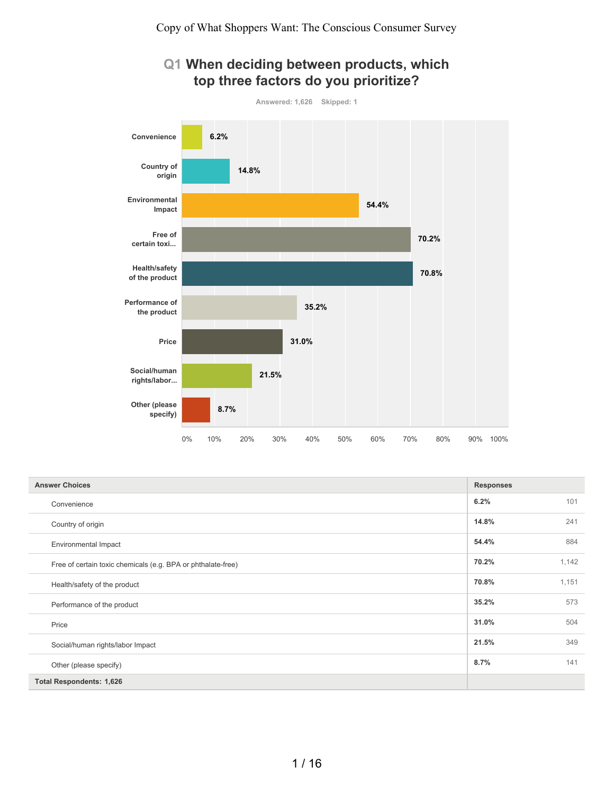## **Q1 When deciding between products, which top three factors do you prioritize?**



| <b>Answer Choices</b>                                        | <b>Responses</b> |       |
|--------------------------------------------------------------|------------------|-------|
| Convenience                                                  | 6.2%             | 101   |
| Country of origin                                            | 14.8%            | 241   |
| <b>Environmental Impact</b>                                  | 54.4%            | 884   |
| Free of certain toxic chemicals (e.g. BPA or phthalate-free) | 70.2%            | 1,142 |
| Health/safety of the product                                 | 70.8%            | 1,151 |
| Performance of the product                                   | 35.2%            | 573   |
| Price                                                        | 31.0%            | 504   |
| Social/human rights/labor Impact                             | 21.5%            | 349   |
| Other (please specify)                                       | 8.7%             | 141   |
| <b>Total Respondents: 1,626</b>                              |                  |       |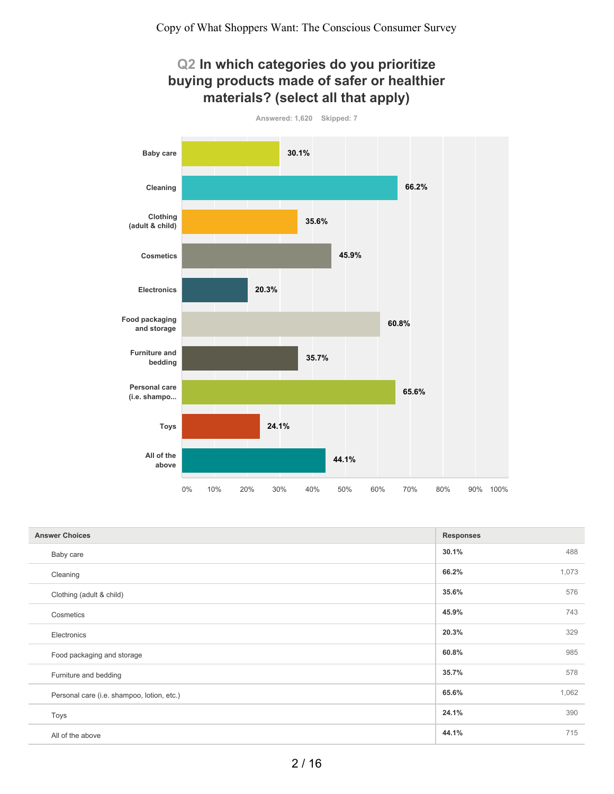

| <b>Answer Choices</b>                      | <b>Responses</b> |       |
|--------------------------------------------|------------------|-------|
| Baby care                                  | 30.1%            | 488   |
| Cleaning                                   | 66.2%            | 1,073 |
| Clothing (adult & child)                   | 35.6%            | 576   |
| Cosmetics                                  | 45.9%            | 743   |
| Electronics                                | 20.3%            | 329   |
| Food packaging and storage                 | 60.8%            | 985   |
| Furniture and bedding                      | 35.7%            | 578   |
| Personal care (i.e. shampoo, lotion, etc.) | 65.6%            | 1,062 |
| Toys                                       | 24.1%            | 390   |
| All of the above                           | 44.1%            | 715   |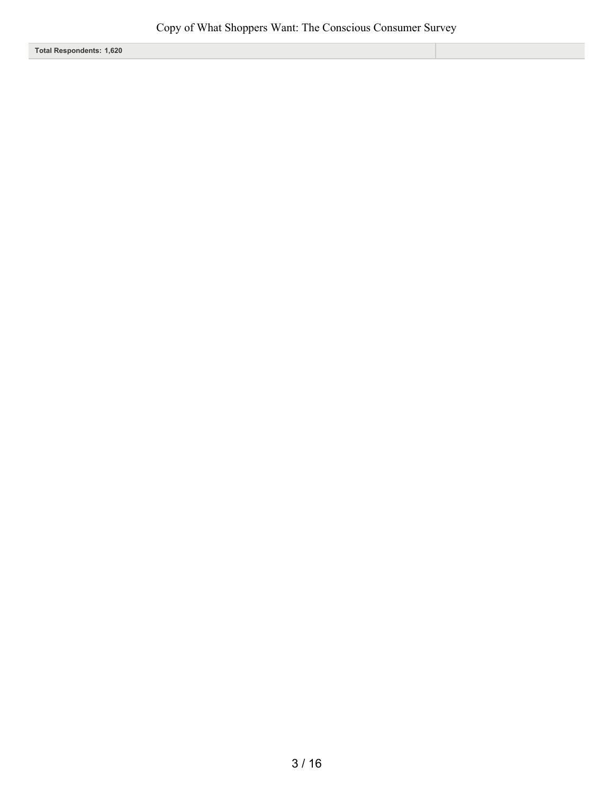**Total Respondents: 1,620**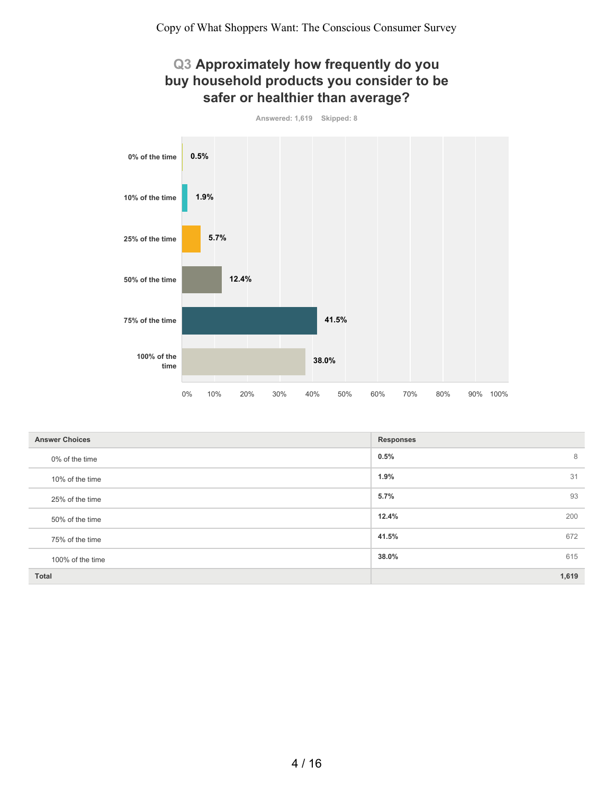## **Q3 Approximately how frequently do you buy household products you consider to be safer or healthier than average?**



| Answered: 1.619 | Skipped: 8 |
|-----------------|------------|

| <b>Answer Choices</b> | <b>Responses</b> |
|-----------------------|------------------|
| 0% of the time        | 0.5%<br>8        |
| 10% of the time       | 1.9%<br>31       |
| 25% of the time       | 5.7%<br>93       |
| 50% of the time       | 12.4%<br>200     |
| 75% of the time       | 672<br>41.5%     |
| 100% of the time      | 615<br>38.0%     |
| <b>Total</b>          | 1,619            |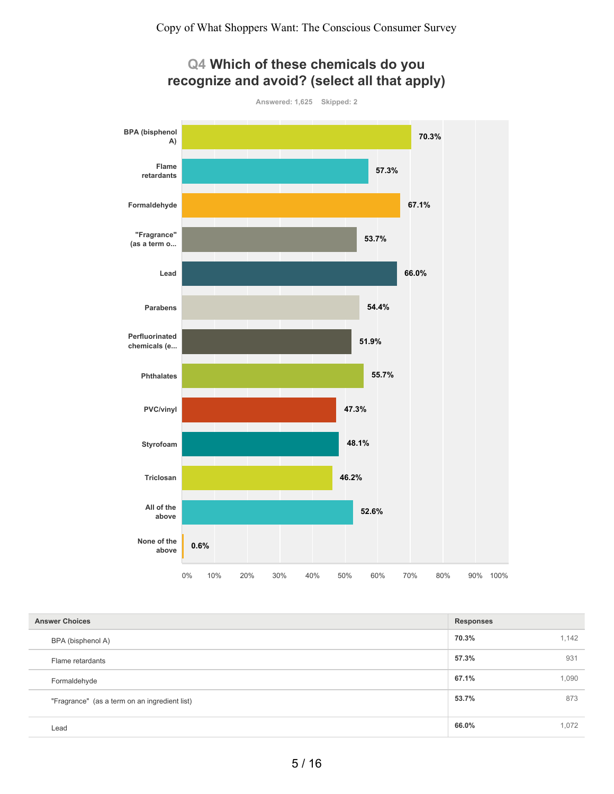

## **Q4 Which of these chemicals do you recognize and avoid? (select all that apply)**

| <b>Answer Choices</b><br><b>Responses</b>     |       |       |
|-----------------------------------------------|-------|-------|
| BPA (bisphenol A)                             | 70.3% | 1,142 |
| Flame retardants                              | 57.3% | 931   |
| Formaldehyde                                  | 67.1% | 1,090 |
| "Fragrance" (as a term on an ingredient list) | 53.7% | 873   |
| Lead                                          | 66.0% | 1,072 |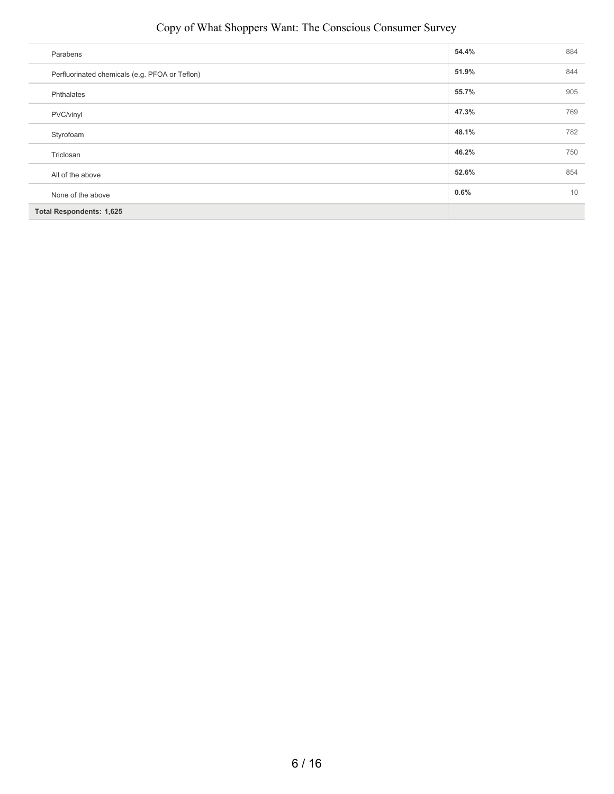### Copy of What Shoppers Want: The Conscious Consumer Survey

| Parabens                                       | 54.4% | 884 |
|------------------------------------------------|-------|-----|
| Perfluorinated chemicals (e.g. PFOA or Teflon) | 51.9% | 844 |
| Phthalates                                     | 55.7% | 905 |
| PVC/vinyl                                      | 47.3% | 769 |
| Styrofoam                                      | 48.1% | 782 |
| Triclosan                                      | 46.2% | 750 |
| All of the above                               | 52.6% | 854 |
| None of the above                              | 0.6%  | 10  |
| <b>Total Respondents: 1,625</b>                |       |     |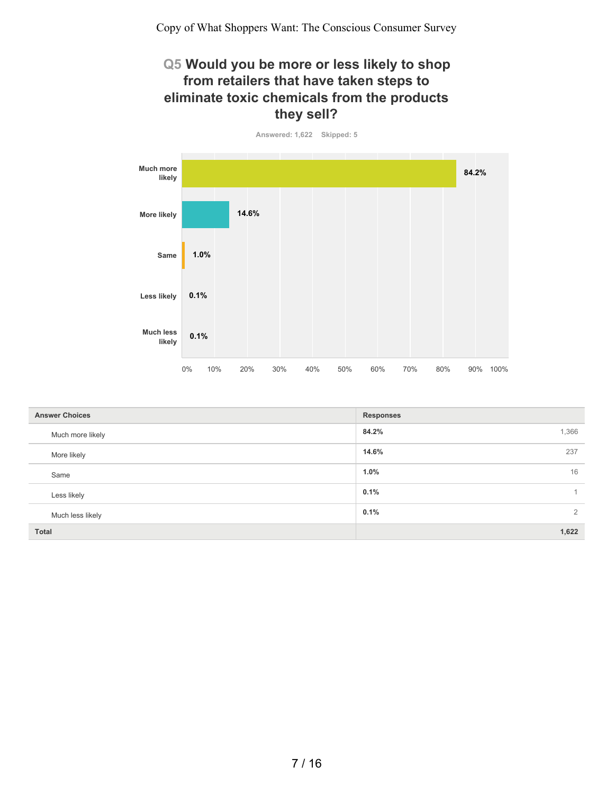## **Q5 Would you be more or less likely to shop from retailers that have taken steps to eliminate toxic chemicals from the products they sell?**



| <b>Answer Choices</b> | <b>Responses</b> |
|-----------------------|------------------|
| Much more likely      | 84.2%<br>1,366   |
| More likely           | 14.6%<br>237     |
| Same                  | 16<br>1.0%       |
| Less likely           | 0.1%             |
| Much less likely      | 2<br>0.1%        |
| <b>Total</b>          | 1,622            |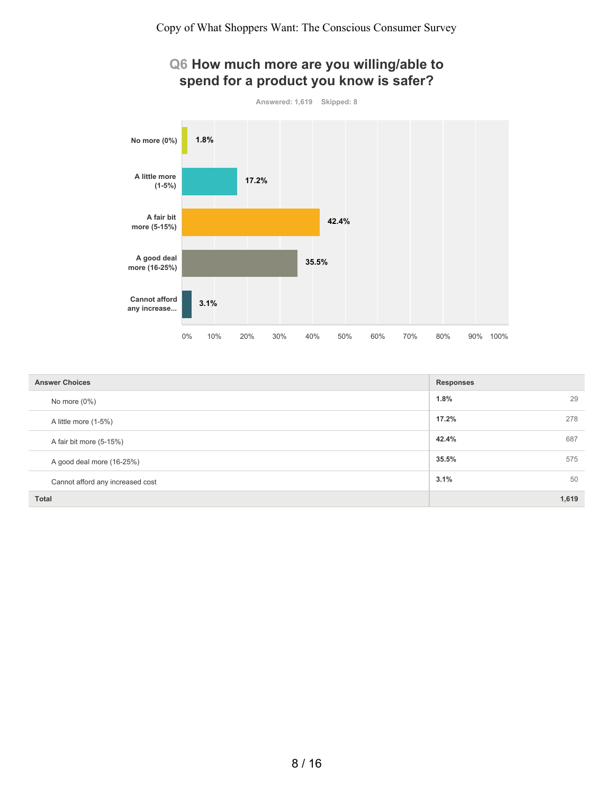# **Q6 How much more are you willing/able to spend for a product you know is safer?**



| <b>Answer Choices</b>            | <b>Responses</b> |
|----------------------------------|------------------|
| No more $(0\%)$                  | 29<br>1.8%       |
| A little more (1-5%)             | 17.2%<br>278     |
| A fair bit more (5-15%)          | 42.4%<br>687     |
| A good deal more (16-25%)        | 35.5%<br>575     |
| Cannot afford any increased cost | 3.1%<br>50       |
| <b>Total</b>                     | 1,619            |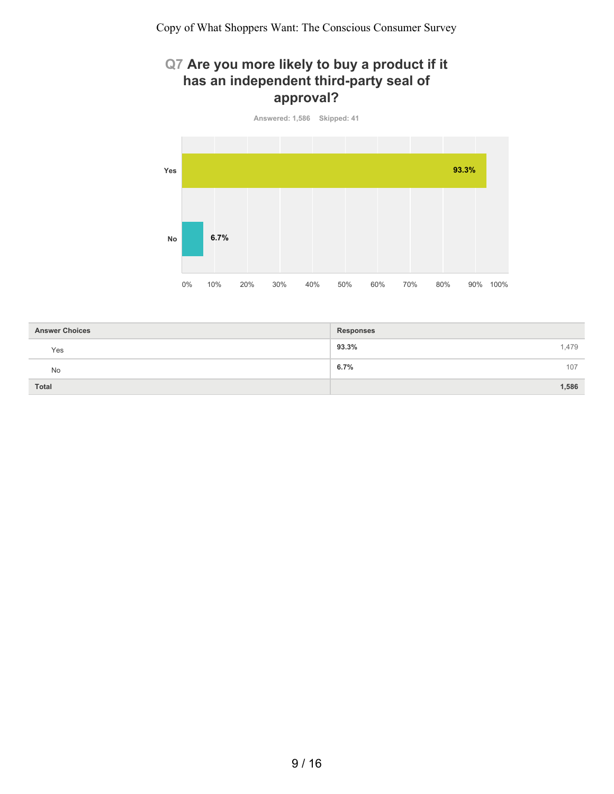# **Q7 Are you more likely to buy a product if it has an independent third-party seal of approval?**



| <b>Answer Choices</b> | <b>Responses</b> |
|-----------------------|------------------|
| Yes                   | 93.3%<br>1,479   |
| No                    | 6.7%<br>107      |
| <b>Total</b>          | 1,586            |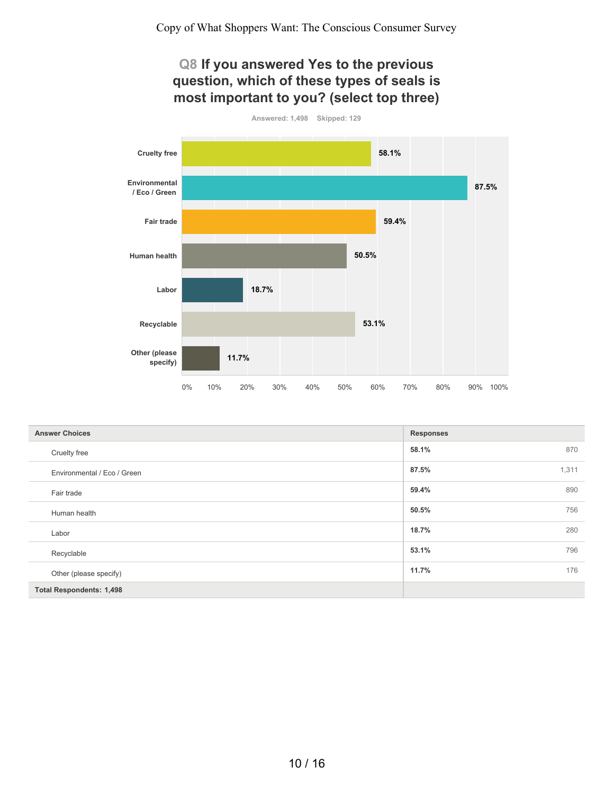## **Q8 If you answered Yes to the previous question, which of these types of seals is most important to you? (select top three)**



| <b>Answer Choices</b>           | <b>Responses</b> |     |
|---------------------------------|------------------|-----|
| Cruelty free                    | 58.1%            | 870 |
| Environmental / Eco / Green     | 1,311<br>87.5%   |     |
| Fair trade                      | 59.4%            | 890 |
| Human health                    | 50.5%            | 756 |
| Labor                           | 18.7%            | 280 |
| Recyclable                      | 53.1%            | 796 |
| Other (please specify)          | 11.7%            | 176 |
| <b>Total Respondents: 1,498</b> |                  |     |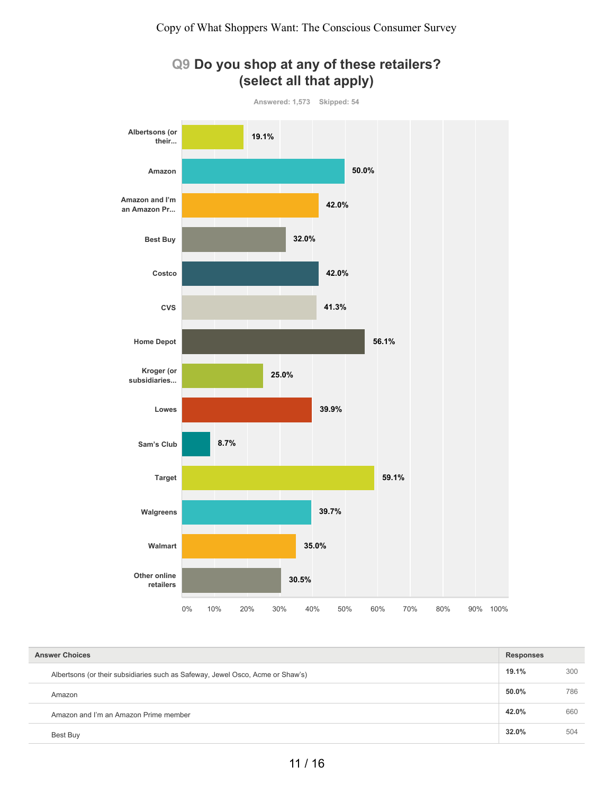

**Q9 Do you shop at any of these retailers? (select all that apply)**

| <b>Answer Choices</b>                                                          |       | <b>Responses</b> |  |
|--------------------------------------------------------------------------------|-------|------------------|--|
| Albertsons (or their subsidiaries such as Safeway, Jewel Osco, Acme or Shaw's) | 19.1% | 300              |  |
| Amazon                                                                         | 50.0% | 786              |  |
| Amazon and I'm an Amazon Prime member                                          | 42.0% | 660              |  |
| Best Buv                                                                       | 32.0% | 504              |  |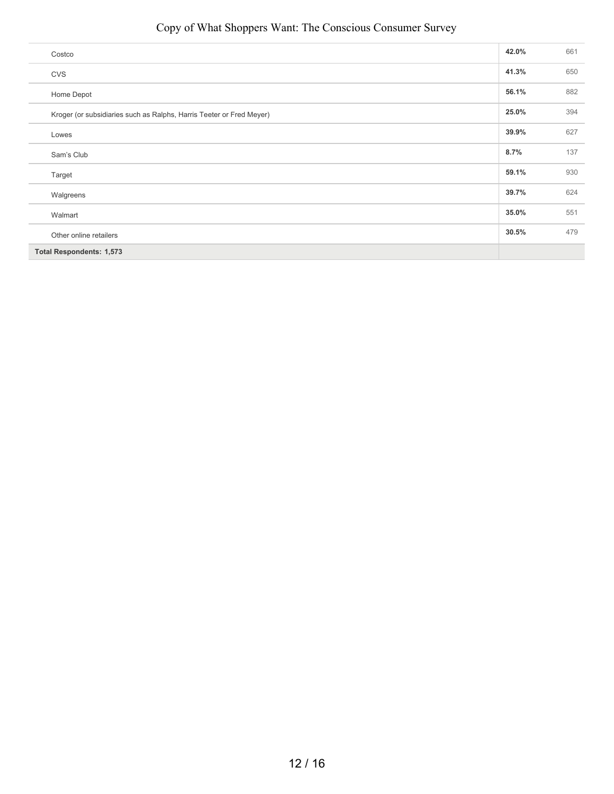#### Copy of What Shoppers Want: The Conscious Consumer Survey

| Costco                                                               | 42.0% | 661 |
|----------------------------------------------------------------------|-------|-----|
| CVS                                                                  | 41.3% | 650 |
| Home Depot                                                           | 56.1% | 882 |
| Kroger (or subsidiaries such as Ralphs, Harris Teeter or Fred Meyer) | 25.0% | 394 |
| Lowes                                                                | 39.9% | 627 |
| Sam's Club                                                           | 8.7%  | 137 |
| Target                                                               | 59.1% | 930 |
| Walgreens                                                            | 39.7% | 624 |
| Walmart                                                              | 35.0% | 551 |
| Other online retailers                                               | 30.5% | 479 |
| <b>Total Respondents: 1,573</b>                                      |       |     |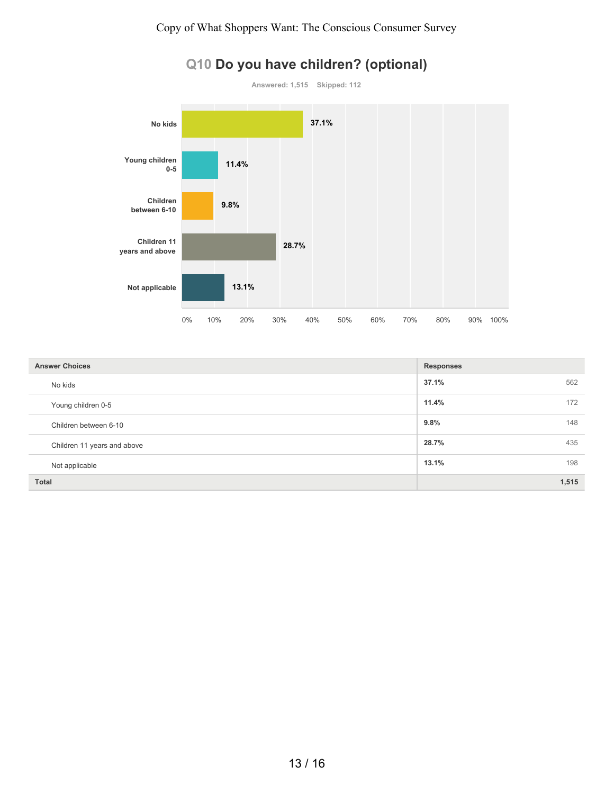

| <b>Answer Choices</b>       | <b>Responses</b> |       |
|-----------------------------|------------------|-------|
| No kids                     | 37.1%            | 562   |
| Young children 0-5          | 11.4%            | 172   |
| Children between 6-10       | 9.8%             | 148   |
| Children 11 years and above | 28.7%            | 435   |
| Not applicable              | 13.1%            | 198   |
| <b>Total</b>                |                  | 1,515 |

# **Q10 Do you have children? (optional)**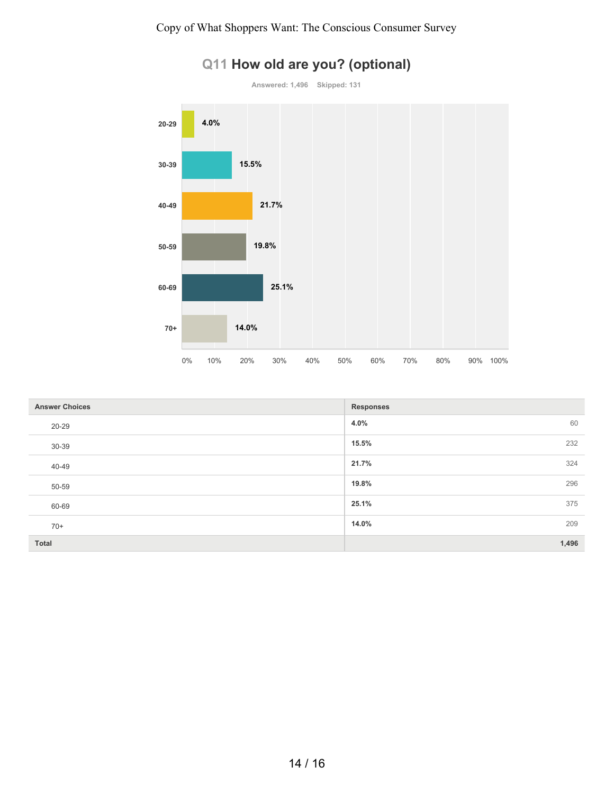

|  |  |  |  |  | Q11 How old are you? (optional) |
|--|--|--|--|--|---------------------------------|
|--|--|--|--|--|---------------------------------|

| <b>Answer Choices</b> | <b>Responses</b> |
|-----------------------|------------------|
| 20-29                 | 4.0%<br>60       |
| 30-39                 | 15.5%<br>232     |
| 40-49                 | 21.7%<br>324     |
| 50-59                 | 19.8%<br>296     |
| 60-69                 | 25.1%<br>375     |
| $70+$                 | 14.0%<br>209     |
| Total                 | 1,496            |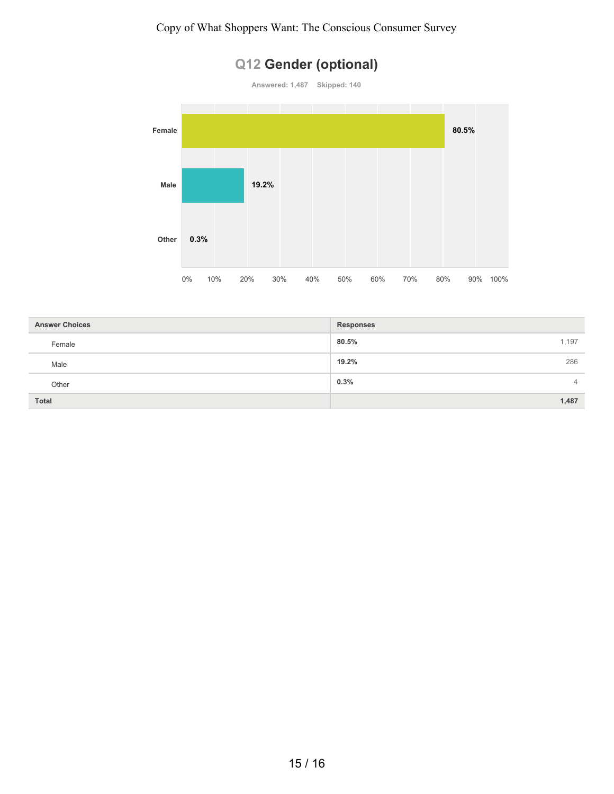# **Q12 Gender (optional)**



| <b>Answer Choices</b> | <b>Responses</b>       |
|-----------------------|------------------------|
| Female                | 1,197<br>80.5%         |
| Male                  | 286<br>19.2%           |
| Other                 | 0.3%<br>$\overline{4}$ |
| <b>Total</b>          | 1,487                  |